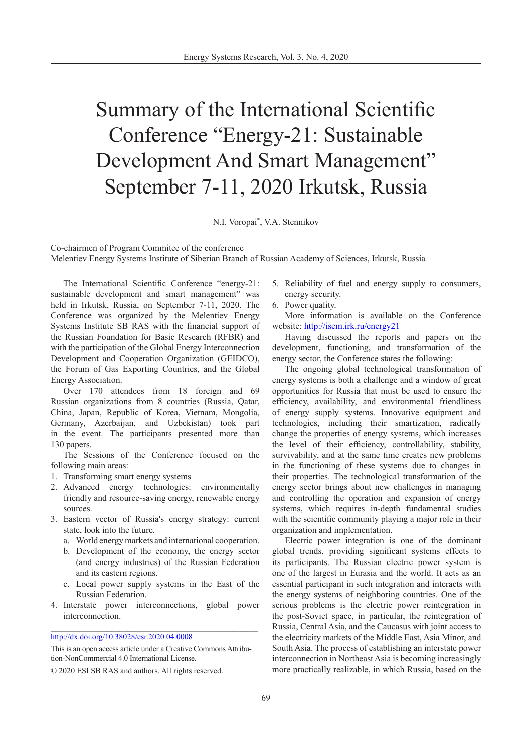## Summary of the International Scientific Conference "Energy-21: Sustainable Development And Smart Management" September 7-11, 2020 Irkutsk, Russia

N.I. Voropai\* , V.A. Stennikov

Co-chairmen of Program Commitee of the conference Melentiev Energy Systems Institute of Siberian Branch of Russian Academy of Sciences, Irkutsk, Russia

The International Scientific Conference "energy-21: sustainable development and smart management" was held in Irkutsk, Russia, on September 7-11, 2020. The Conference was organized by the Melentiev Energy Systems Institute SB RAS with the financial support of the Russian Foundation for Basic Research (RFBR) and with the participation of the Global Energy Interconnection Development and Cooperation Organization (GEIDCO), the Forum of Gas Exporting Countries, and the Global Energy Association.

Over 170 attendees from 18 foreign and 69 Russian organizations from 8 countries (Russia, Qatar, China, Japan, Republic of Korea, Vietnam, Mongolia, Germany, Azerbaijan, and Uzbekistan) took part in the event. The participants presented more than 130 papers.

The Sessions of the Conference focused on the following main areas:

- 1. Transforming smart energy systems
- 2. Advanced energy technologies: environmentally friendly and resource-saving energy, renewable energy sources.
- 3. Eastern vector of Russia's energy strategy: current state, look into the future.
	- a. World energy markets and international cooperation.
	- b. Development of the economy, the energy sector (and energy industries) of the Russian Federation and its eastern regions.
	- c. Local power supply systems in the East of the Russian Federation.
- 4. Interstate power interconnections, global power interconnection. \_\_\_\_\_\_\_\_\_\_\_\_\_\_\_\_\_\_\_\_\_\_\_\_\_\_\_\_\_\_\_\_\_\_\_\_\_\_\_\_\_\_\_\_\_\_\_\_\_\_\_

[http://dx.doi.org/10.38028/esr.2020.04.0008](http://dx.doi.org/10.38028/esr.2020.04.0008 
) 

This is an open access article under a Creative Commons Attribution-NonCommercial 4.0 International License.

- 5. Reliability of fuel and energy supply to consumers, energy security.
- 6. Power quality.

More information is available on the Conference website: <http://isem.irk.ru/energy21>

Having discussed the reports and papers on the development, functioning, and transformation of the energy sector, the Conference states the following:

The ongoing global technological transformation of energy systems is both a challenge and a window of great opportunities for Russia that must be used to ensure the efficiency, availability, and environmental friendliness of energy supply systems. Innovative equipment and technologies, including their smartization, radically change the properties of energy systems, which increases the level of their efficiency, controllability, stability, survivability, and at the same time creates new problems in the functioning of these systems due to changes in their properties. The technological transformation of the energy sector brings about new challenges in managing and controlling the operation and expansion of energy systems, which requires in-depth fundamental studies with the scientific community playing a major role in their organization and implementation.

Electric power integration is one of the dominant global trends, providing significant systems effects to its participants. The Russian electric power system is one of the largest in Eurasia and the world. It acts as an essential participant in such integration and interacts with the energy systems of neighboring countries. One of the serious problems is the electric power reintegration in the post-Soviet space, in particular, the reintegration of Russia, Central Asia, and the Caucasus with joint access to the electricity markets of the Middle East, Asia Minor, and South Asia. The process of establishing an interstate power interconnection in Northeast Asia is becoming increasingly more practically realizable, in which Russia, based on the

<sup>© 2020</sup> ESI SB RAS and authors. All rights reserved.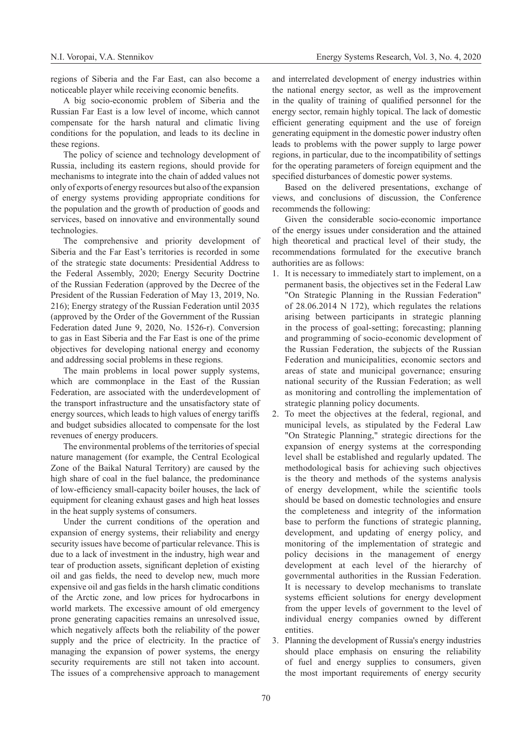regions of Siberia and the Far East, can also become a noticeable player while receiving economic benefits.

A big socio-economic problem of Siberia and the Russian Far East is a low level of income, which cannot compensate for the harsh natural and climatic living conditions for the population, and leads to its decline in these regions.

The policy of science and technology development of Russia, including its eastern regions, should provide for mechanisms to integrate into the chain of added values not only of exports of energy resources but also of the expansion of energy systems providing appropriate conditions for the population and the growth of production of goods and services, based on innovative and environmentally sound technologies.

The comprehensive and priority development of Siberia and the Far East's territories is recorded in some of the strategic state documents: Presidential Address to the Federal Assembly, 2020; Energy Security Doctrine of the Russian Federation (approved by the Decree of the President of the Russian Federation of May 13, 2019, No. 216); Energy strategy of the Russian Federation until 2035 (approved by the Order of the Government of the Russian Federation dated June 9, 2020, No. 1526-r). Conversion to gas in East Siberia and the Far East is one of the prime objectives for developing national energy and economy and addressing social problems in these regions.

The main problems in local power supply systems, which are commonplace in the East of the Russian Federation, are associated with the underdevelopment of the transport infrastructure and the unsatisfactory state of energy sources, which leads to high values of energy tariffs and budget subsidies allocated to compensate for the lost revenues of energy producers.

The environmental problems of the territories of special nature management (for example, the Central Ecological Zone of the Baikal Natural Territory) are caused by the high share of coal in the fuel balance, the predominance of low-efficiency small-capacity boiler houses, the lack of equipment for cleaning exhaust gases and high heat losses in the heat supply systems of consumers.

Under the current conditions of the operation and expansion of energy systems, their reliability and energy security issues have become of particular relevance. This is due to a lack of investment in the industry, high wear and tear of production assets, significant depletion of existing oil and gas fields, the need to develop new, much more expensive oil and gas fields in the harsh climatic conditions of the Arctic zone, and low prices for hydrocarbons in world markets. The excessive amount of old emergency prone generating capacities remains an unresolved issue, which negatively affects both the reliability of the power supply and the price of electricity. In the practice of managing the expansion of power systems, the energy security requirements are still not taken into account. The issues of a comprehensive approach to management

and interrelated development of energy industries within the national energy sector, as well as the improvement in the quality of training of qualified personnel for the energy sector, remain highly topical. The lack of domestic efficient generating equipment and the use of foreign generating equipment in the domestic power industry often leads to problems with the power supply to large power regions, in particular, due to the incompatibility of settings for the operating parameters of foreign equipment and the specified disturbances of domestic power systems.

Based on the delivered presentations, exchange of views, and conclusions of discussion, the Conference recommends the following:

Given the considerable socio-economic importance of the energy issues under consideration and the attained high theoretical and practical level of their study, the recommendations formulated for the executive branch authorities are as follows:

- 1. It is necessary to immediately start to implement, on a permanent basis, the objectives set in the Federal Law "On Strategic Planning in the Russian Federation" of 28.06.2014 N 172), which regulates the relations arising between participants in strategic planning in the process of goal-setting; forecasting; planning and programming of socio-economic development of the Russian Federation, the subjects of the Russian Federation and municipalities, economic sectors and areas of state and municipal governance; ensuring national security of the Russian Federation; as well as monitoring and controlling the implementation of strategic planning policy documents.
- 2. To meet the objectives at the federal, regional, and municipal levels, as stipulated by the Federal Law "On Strategic Planning," strategic directions for the expansion of energy systems at the corresponding level shall be established and regularly updated. The methodological basis for achieving such objectives is the theory and methods of the systems analysis of energy development, while the scientific tools should be based on domestic technologies and ensure the completeness and integrity of the information base to perform the functions of strategic planning, development, and updating of energy policy, and monitoring of the implementation of strategic and policy decisions in the management of energy development at each level of the hierarchy of governmental authorities in the Russian Federation. It is necessary to develop mechanisms to translate systems efficient solutions for energy development from the upper levels of government to the level of individual energy companies owned by different entities.
- 3. Planning the development of Russia's energy industries should place emphasis on ensuring the reliability of fuel and energy supplies to consumers, given the most important requirements of energy security